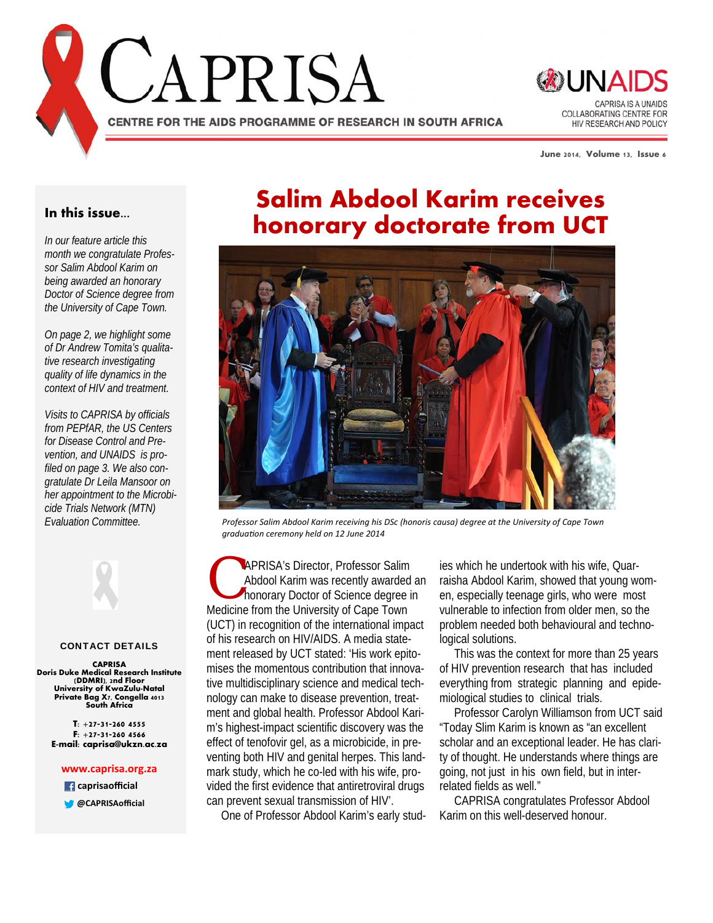



**June 2014, Volume 13, Issue 6** 

### **In this issue...**

*In our feature article this month we congratulate Professor Salim Abdool Karim on being awarded an honorary Doctor of Science degree from the University of Cape Town.* 

*On page 2, we highlight some of Dr Andrew Tomita's qualitative research investigating quality of life dynamics in the context of HIV and treatment.* 

*Visits to CAPRISA by officials from PEPfAR, the US Centers for Disease Control and Prevention, and UNAIDS is profiled on page 3. We also congratulate Dr Leila Mansoor on her appointment to the Microbicide Trials Network (MTN) Evaluation Committee.*



#### CONTACT DETAILS

**CAPRISA Doris Duke Medical Research Institute (DDMRI), 2nd Floor University of KwaZulu-Natal Private Bag X7, Congella 4013 South Africa** 

**T: +27-31-260 4555 F: +27-31-260 4566 E-mail: caprisa@ukzn.ac.za** 

#### **www.caprisa.org.za**

 **caprisaofficial**

**@CAPRISAofficial**

# **Salim Abdool Karim receives honorary doctorate from UCT**



*Professor Salim Abdool Karim receiving his DSc (honoris causa) degree at the University of Cape Town graduaƟon ceremony held on 12 June 2014*

**C APRISA's Director, Professor Salim<br>
Abdool Karim was recently awarded a<br>
honorary Doctor of Science degree in<br>
Medicine from the University of Cane Tevre** Abdool Karim was recently awarded an Medicine from the University of Cape Town (UCT) in recognition of the international impact of his research on HIV/AIDS. A media statement released by UCT stated: 'His work epitomises the momentous contribution that innovative multidisciplinary science and medical technology can make to disease prevention, treatment and global health. Professor Abdool Karim's highest-impact scientific discovery was the effect of tenofovir gel, as a microbicide, in preventing both HIV and genital herpes. This landmark study, which he co-led with his wife, provided the first evidence that antiretroviral drugs can prevent sexual transmission of HIV'.

One of Professor Abdool Karim's early stud-

ies which he undertook with his wife, Quarraisha Abdool Karim, showed that young women, especially teenage girls, who were most vulnerable to infection from older men, so the problem needed both behavioural and technological solutions.

 This was the context for more than 25 years of HIV prevention research that has included everything from strategic planning and epidemiological studies to clinical trials.

 Professor Carolyn Williamson from UCT said "Today Slim Karim is known as "an excellent scholar and an exceptional leader. He has clarity of thought. He understands where things are going, not just in his own field, but in interrelated fields as well."

 CAPRISA congratulates Professor Abdool Karim on this well-deserved honour.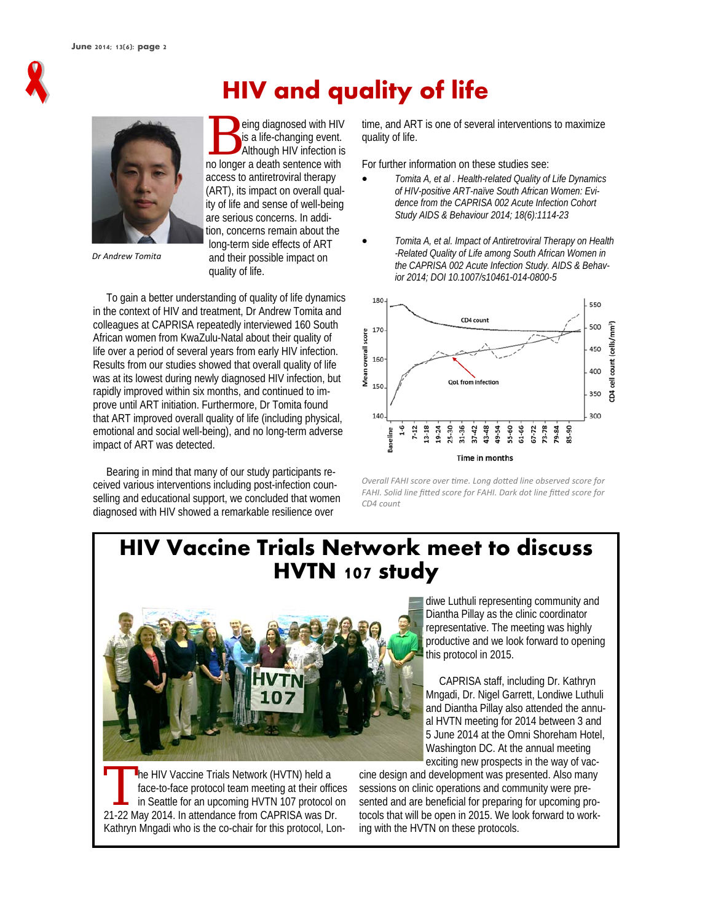

# **HIV and quality of life**



*Dr Andrew Tomita*

eing diagnosed with HIV is a life-changing event. Although HIV infection is no longer a death sentence with access to antiretroviral therapy (ART), its impact on overall quality of life and sense of well-being are serious concerns. In addition, concerns remain about the long-term side effects of ART and their possible impact on quality of life.

 To gain a better understanding of quality of life dynamics in the context of HIV and treatment, Dr Andrew Tomita and colleagues at CAPRISA repeatedly interviewed 160 South African women from KwaZulu-Natal about their quality of life over a period of several years from early HIV infection. Results from our studies showed that overall quality of life was at its lowest during newly diagnosed HIV infection, but rapidly improved within six months, and continued to improve until ART initiation. Furthermore, Dr Tomita found that ART improved overall quality of life (including physical, emotional and social well-being), and no long-term adverse impact of ART was detected.

 Bearing in mind that many of our study participants received various interventions including post-infection counselling and educational support, we concluded that women diagnosed with HIV showed a remarkable resilience over

time, and ART is one of several interventions to maximize quality of life.

For further information on these studies see:

- *Tomita A, et al . Health-related Quality of Life Dynamics of HIV-positive ART-naïve South African Women: Evidence from the CAPRISA 002 Acute Infection Cohort Study AIDS & Behaviour 2014; 18(6):1114-23*
- *Tomita A, et al. Impact of Antiretroviral Therapy on Health -Related Quality of Life among South African Women in the CAPRISA 002 Acute Infection Study. AIDS & Behavior 2014; DOI 10.1007/s10461-014-0800-5*



*Overall FAHI score over Ɵme. Long doƩed line observed score for FAHI. Solid line fiƩed score for FAHI. Dark dot line fiƩed score for CD4 count*

# **HIV Vaccine Trials Network meet to discuss HVTN 107 study**



The HIV Vaccine Trials Network (HVTN) held a<br>face-to-face protocol team meeting at their official<br>in Seattle for an upcoming HVTN 107 protocol<br>21.22 May 2014. In attendance from CABBISA was Dr face-to-face protocol team meeting at their offices in Seattle for an upcoming HVTN 107 protocol on 21-22 May 2014. In attendance from CAPRISA was Dr. Kathryn Mngadi who is the co-chair for this protocol, Londiwe Luthuli representing community and Diantha Pillay as the clinic coordinator representative. The meeting was highly productive and we look forward to opening this protocol in 2015.

 CAPRISA staff, including Dr. Kathryn Mngadi, Dr. Nigel Garrett, Londiwe Luthuli and Diantha Pillay also attended the annual HVTN meeting for 2014 between 3 and 5 June 2014 at the Omni Shoreham Hotel, Washington DC. At the annual meeting exciting new prospects in the way of vac-

cine design and development was presented. Also many sessions on clinic operations and community were presented and are beneficial for preparing for upcoming protocols that will be open in 2015. We look forward to working with the HVTN on these protocols.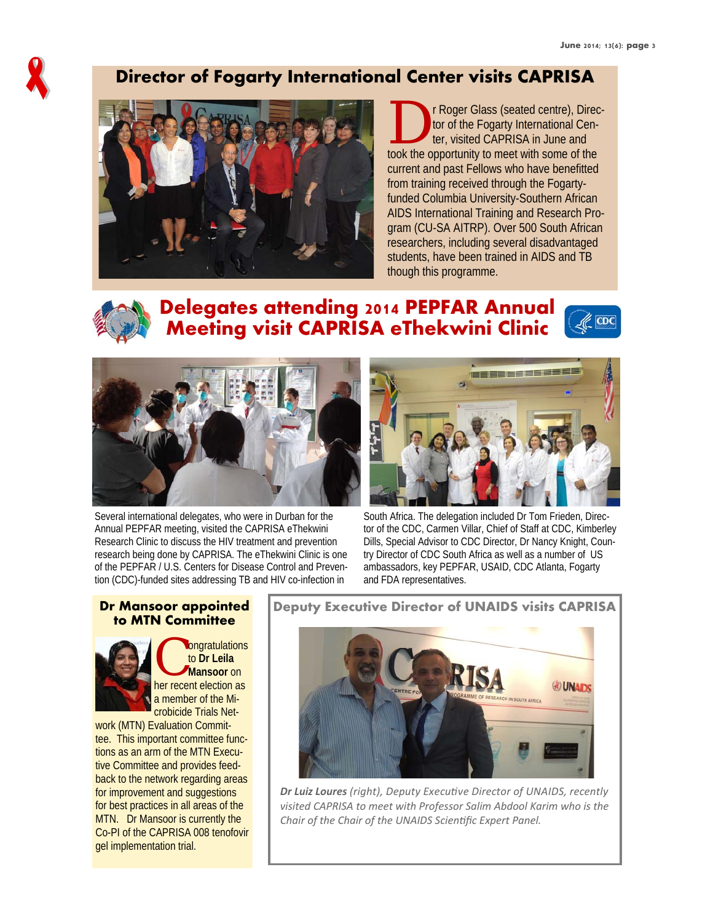

### **Director of Fogarty International Center visits CAPRISA**



The Roger Glass (seated centre), Direc-<br>tor of the Fogarty International Center, visited CAPRISA in June and<br>took the encortunity to meet with some of the tor of the Fogarty International Center, visited CAPRISA in June and took the opportunity to meet with some of the current and past Fellows who have benefitted from training received through the Fogartyfunded Columbia University-Southern African AIDS International Training and Research Program (CU-SA AITRP). Over 500 South African researchers, including several disadvantaged students, have been trained in AIDS and TB though this programme.



## **Delegates attending 2014 PEPFAR Annual Meeting visit CAPRISA eThekwini Clinic**





Several international delegates, who were in Durban for the Annual PEPFAR meeting, visited the CAPRISA eThekwini Research Clinic to discuss the HIV treatment and prevention research being done by CAPRISA. The eThekwini Clinic is one of the PEPFAR / U.S. Centers for Disease Control and Prevention (CDC)-funded sites addressing TB and HIV co-infection in



South Africa. The delegation included Dr Tom Frieden, Director of the CDC, Carmen Villar, Chief of Staff at CDC, Kimberley Dills, Special Advisor to CDC Director, Dr Nancy Knight, Country Director of CDC South Africa as well as a number of US ambassadors, key PEPFAR, USAID, CDC Atlanta, Fogarty and FDA representatives.

# **to MTN Committee**



ongratulations to **Dr Leila Mansoor** on her recent election as a member of the Microbicide Trials Net-

work (MTN) Evaluation Committee. This important committee functions as an arm of the MTN Executive Committee and provides feedback to the network regarding areas for improvement and suggestions for best practices in all areas of the MTN. Dr Mansoor is currently the Co-PI of the CAPRISA 008 tenofovir gel implementation trial.

**Dr Mansoor appointed** | Deputy Executive Director of UNAIDS visits CAPRISA



*Dr Luiz Loures (right), Deputy ExecuƟve Director of UNAIDS, recently visited CAPRISA to meet with Professor Salim Abdool Karim who is the Chair of the Chair of the UNAIDS ScienƟfic Expert Panel.*